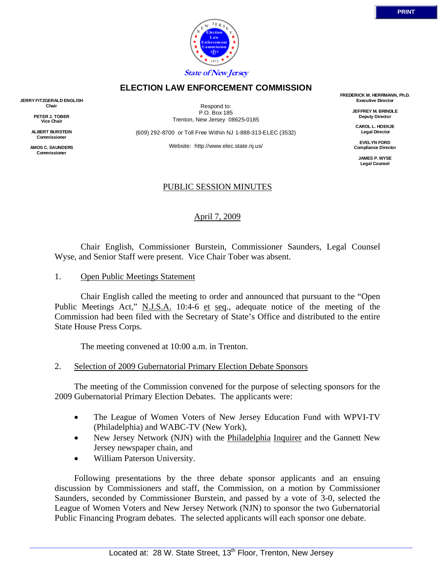

#### **ELECTION LAW ENFORCEMENT COMMISSION**

**JERRY FITZGERALD ENGLISH Chair** 

> **PETER J. TOBER Vice Chair**

**ALBERT BURSTEIN Commissioner** 

**AMOS C. SAUNDERS Commissioner** 

Respond to: P.O. Box 185 Trenton, New Jersey 08625-0185

(609) 292-8700 or Toll Free Within NJ 1-888-313-ELEC (3532)

Website: http://www.elec.state.nj.us/

# PUBLIC SESSION MINUTES

## April 7, 2009

 Chair English, Commissioner Burstein, Commissioner Saunders, Legal Counsel Wyse, and Senior Staff were present. Vice Chair Tober was absent.

1. Open Public Meetings Statement

 Chair English called the meeting to order and announced that pursuant to the "Open Public Meetings Act," N.J.S.A. 10:4-6 et seq., adequate notice of the meeting of the Commission had been filed with the Secretary of State's Office and distributed to the entire State House Press Corps.

The meeting convened at 10:00 a.m. in Trenton.

#### 2. Selection of 2009 Gubernatorial Primary Election Debate Sponsors

 The meeting of the Commission convened for the purpose of selecting sponsors for the 2009 Gubernatorial Primary Election Debates. The applicants were:

- The League of Women Voters of New Jersey Education Fund with WPVI-TV (Philadelphia) and WABC-TV (New York),
- New Jersey Network (NJN) with the **Philadelphia Inquirer** and the Gannett New Jersey newspaper chain, and
- William Paterson University.

 Following presentations by the three debate sponsor applicants and an ensuing discussion by Commissioners and staff, the Commission, on a motion by Commissioner Saunders, seconded by Commissioner Burstein, and passed by a vote of 3-0, selected the League of Women Voters and New Jersey Network (NJN) to sponsor the two Gubernatorial Public Financing Program debates. The selected applicants will each sponsor one debate.

**FREDERICK M. HERRMANN, Ph.D. Executive Director** 

> **JEFFREY M. BRINDLE Deputy Director**

**CAROL L. HOEKJE Legal Director** 

**EVELYN FORD Compliance Director** 

> **JAMES P. WYSE Legal Counsel**